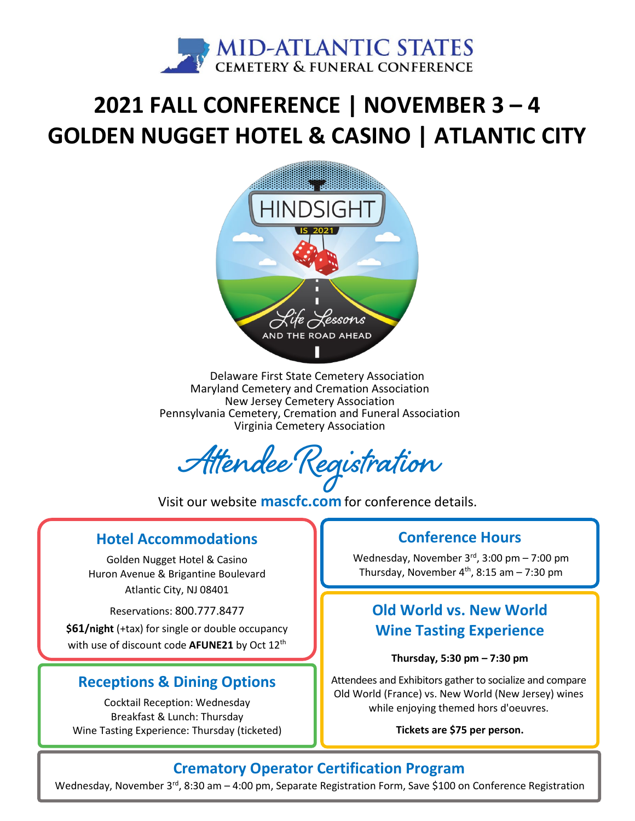

# **2021 FALL CONFERENCE | NOVEMBER 3 – 4 GOLDEN NUGGET HOTEL & CASINO | ATLANTIC CITY**



Delaware First State Cemetery Association Maryland Cemetery and Cremation Association New Jersey Cemetery Association Pennsylvania Cemetery, Cremation and Funeral Association Virginia Cemetery Association

**Attendee Registration**

Visit our website **[mascfc.com](https://mascfc.com)** for conference details.

#### **Hotel Accommodations**

Golden Nugget Hotel & Casino Huron Avenue & Brigantine Boulevard Atlantic City, NJ 08401

Reservations: 800.777.8477

**\$61/night** (+tax) for single or double occupancy with use of discount code **AFUNE21** by Oct 12th

#### **Receptions & Dining Options**

Cocktail Reception: Wednesday Breakfast & Lunch: Thursday Wine Tasting Experience: Thursday (ticketed)

#### **Conference Hours**

Wednesday, November 3rd, 3:00 pm - 7:00 pm Thursday, November  $4<sup>th</sup>$ , 8:15 am - 7:30 pm

## **Old World vs. New World Wine Tasting Experience**

#### **Thursday, 5:30 pm – 7:30 pm**

Attendees and Exhibitors gather to socialize and compare Old World (France) vs. New World (New Jersey) wines while enjoying themed hors d'oeuvres.

#### **Tickets are \$75 per person.**

#### **Crematory Operator Certification Program**

Wednesday, November 3<sup>rd</sup>, 8:30 am - 4:00 pm, Separate Registration Form, Save \$100 on Conference Registration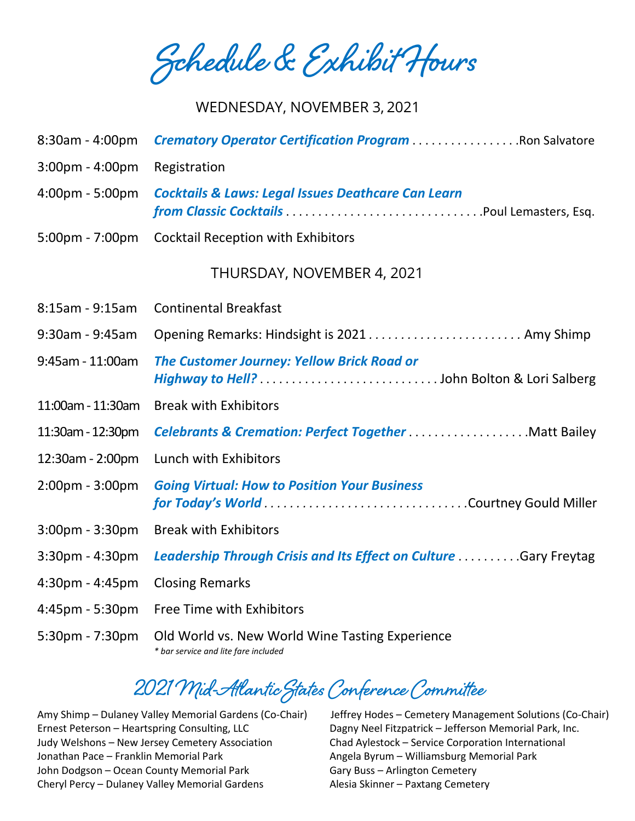**Schedule & Exhibit Hours**

#### WEDNESDAY, NOVEMBER 3, 2021

| 8:30am - 4:00pm                   | <b>Crematory Operator Certification Program Ron Salvatore</b>                                  |
|-----------------------------------|------------------------------------------------------------------------------------------------|
| 3:00pm - 4:00pm                   | Registration                                                                                   |
| 4:00pm - 5:00pm                   | <b>Cocktails &amp; Laws: Legal Issues Deathcare Can Learn</b>                                  |
| $5:00 \text{pm} - 7:00 \text{pm}$ | <b>Cocktail Reception with Exhibitors</b>                                                      |
|                                   | THURSDAY, NOVEMBER 4, 2021                                                                     |
| 8:15am - 9:15am                   | <b>Continental Breakfast</b>                                                                   |
| 9:30am - 9:45am                   | Opening Remarks: Hindsight is 2021 Amy Shimp                                                   |
| 9:45am - 11:00am                  | <b>The Customer Journey: Yellow Brick Road or</b>                                              |
| 11:00am - 11:30am                 | <b>Break with Exhibitors</b>                                                                   |
| 11:30am - 12:30pm                 | <b>Celebrants &amp; Cremation: Perfect TogetherMatt Bailey</b>                                 |
| 12:30am - 2:00pm                  | Lunch with Exhibitors                                                                          |
| 2:00pm - 3:00pm                   | <b>Going Virtual: How to Position Your Business</b><br>for Today's World Courtney Gould Miller |
| $3:00$ pm - $3:30$ pm             | <b>Break with Exhibitors</b>                                                                   |
| 3:30pm - 4:30pm                   | Leadership Through Crisis and Its Effect on Culture  Gary Freytag                              |
| 4:30pm - 4:45pm                   | <b>Closing Remarks</b>                                                                         |
| 4:45pm - 5:30pm                   | Free Time with Exhibitors                                                                      |
| 5:30pm - 7:30pm                   | Old World vs. New World Wine Tasting Experience<br>* bar service and lite fare included        |

## **2021 Mid-Atlantic States Conference Committee**

Ernest Peterson – Heartspring Consulting, LLC Dagny Neel Fitzpatrick – Jefferson Memorial Park, Inc. Judy Welshons – New Jersey Cemetery Association Chad Aylestock – Service Corporation International Jonathan Pace – Franklin Memorial Park **Angela Byrum – Williamsburg Memorial Park** John Dodgson – Ocean County Memorial Park Gary Buss – Arlington Cemetery Cheryl Percy – Dulaney Valley Memorial Gardens Alesia Skinner – Paxtang Cemetery

Amy Shimp – Dulaney Valley Memorial Gardens (Co-Chair) Jeffrey Hodes – Cemetery Management Solutions (Co-Chair)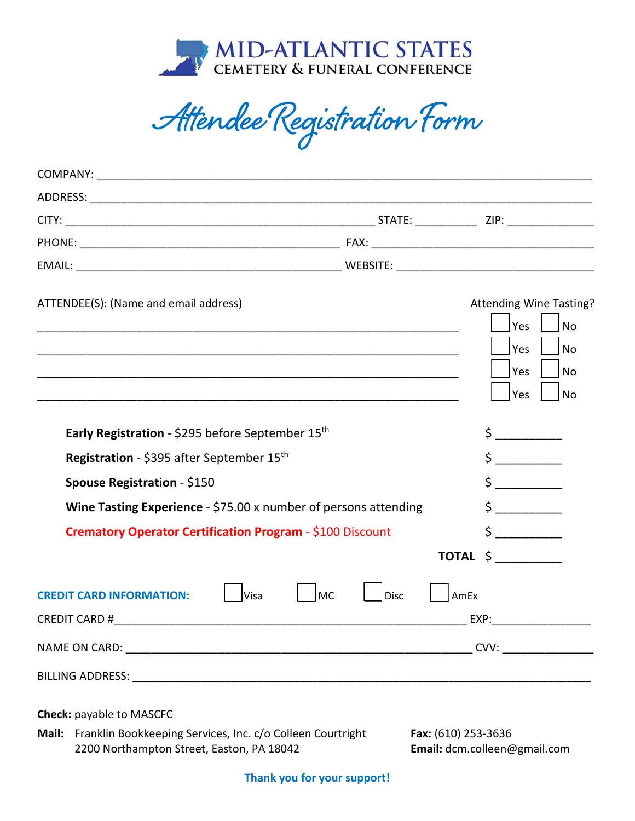

**Attendee Registration Form**

| ATTENDEE(S): (Name and email address)                                                         |                                                                                                                                                                                                                                                                                                                                                                                                                                                                                                                                                                                                                                                                                                                                                                 | <b>Attending Wine Tasting?</b><br>Yes<br><b>No</b><br>Yes<br>No<br>Yes<br>No<br>Yes<br>No |
|-----------------------------------------------------------------------------------------------|-----------------------------------------------------------------------------------------------------------------------------------------------------------------------------------------------------------------------------------------------------------------------------------------------------------------------------------------------------------------------------------------------------------------------------------------------------------------------------------------------------------------------------------------------------------------------------------------------------------------------------------------------------------------------------------------------------------------------------------------------------------------|-------------------------------------------------------------------------------------------|
| Early Registration - \$295 before September 15th<br>Registration - \$395 after September 15th | $\frac{1}{5}$<br>$\begin{array}{c} \n \uparrow \quad \quad \quad \downarrow \quad \quad \quad \quad \downarrow \quad \quad \quad \downarrow \quad \quad \quad \downarrow \quad \quad \quad \downarrow \quad \quad \downarrow \quad \quad \downarrow \quad \quad \downarrow \quad \quad \downarrow \quad \quad \downarrow \quad \quad \downarrow \quad \quad \downarrow \quad \quad \downarrow \quad \quad \downarrow \quad \quad \downarrow \quad \quad \downarrow \quad \downarrow \quad \downarrow \quad \downarrow \quad \downarrow \quad \downarrow \quad \downarrow \quad \downarrow \quad \downarrow \quad \downarrow \quad \downarrow \quad \downarrow \quad \downarrow \quad \downarrow \quad \downarrow \quad \downarrow \quad \downarrow \quad \down$ |                                                                                           |
| Spouse Registration - \$150                                                                   |                                                                                                                                                                                                                                                                                                                                                                                                                                                                                                                                                                                                                                                                                                                                                                 | $\begin{array}{ccc} \texttt{S} & \texttt{---} \end{array}$                                |
| Wine Tasting Experience - \$75.00 x number of persons attending                               |                                                                                                                                                                                                                                                                                                                                                                                                                                                                                                                                                                                                                                                                                                                                                                 | $\frac{1}{2}$                                                                             |
| Crematory Operator Certification Program - \$100 Discount                                     |                                                                                                                                                                                                                                                                                                                                                                                                                                                                                                                                                                                                                                                                                                                                                                 | TOTAL \$                                                                                  |
| Visa<br><b>CREDIT CARD INFORMATION:</b>                                                       | <b>MC</b><br>Disc                                                                                                                                                                                                                                                                                                                                                                                                                                                                                                                                                                                                                                                                                                                                               | AmEx                                                                                      |
|                                                                                               |                                                                                                                                                                                                                                                                                                                                                                                                                                                                                                                                                                                                                                                                                                                                                                 |                                                                                           |
|                                                                                               |                                                                                                                                                                                                                                                                                                                                                                                                                                                                                                                                                                                                                                                                                                                                                                 |                                                                                           |
| Check: payable to MASCFC                                                                      |                                                                                                                                                                                                                                                                                                                                                                                                                                                                                                                                                                                                                                                                                                                                                                 |                                                                                           |

**Mail:** Franklin Bookkeeping Services, Inc. c/o Colleen Courtright Fax: (610) 253-3636 2200 Northampton Street, Easton, PA 18042 **Email:** [dcm.colleen@gmail.com](mailto:dcm.colleen@gmail.com)